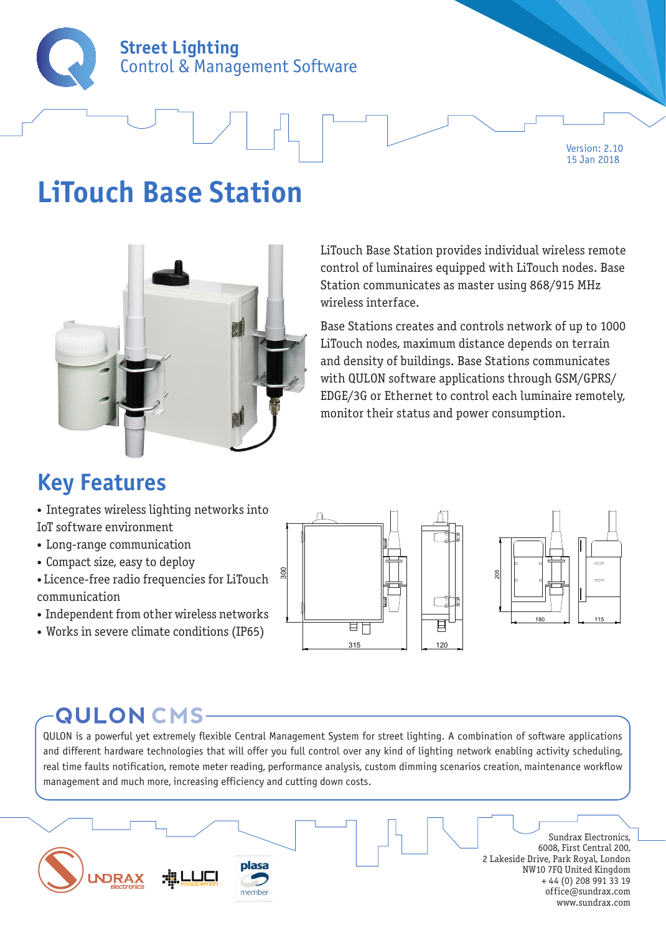

Version: 2.10 15 Jan 2018

## **LiTouch Base Station**



LiTouch Base Station provides individual wireless remote control of luminaires equipped with LiTouch nodes. Base Station communicates as master using 868/915 MHz wireless interface.

Base Stations creates and controls network of up to 1000 LiTouch nodes, maximum distance depends on terrain and density of buildings. Base Stations communicates with QULON software applications through GSM/GPRS/ EDGE/3G or Ethernet to control each luminaire remotely, monitor their status and power consumption.

### **Key Features**

• Integrates wireless lighting networks into IoT software environment

- Long-range communication
- Compact size, easy to deploy
- Licence-free radio frequencies for LiTouch communication
- Independent from other wireless networks
- Works in severe climate conditions (IP65)





## **QULON CMS-**

QULON is a powerful yet extremely flexible Central Management System for street lighting. A combination of software applications and different hardware technologies that will offer you full control over any kind of lighting network enabling activity scheduling, real time faults notification, remote meter reading, performance analysis, custom dimming scenarios creation, maintenance workflow management and much more, increasing efficiency and cutting down costs.

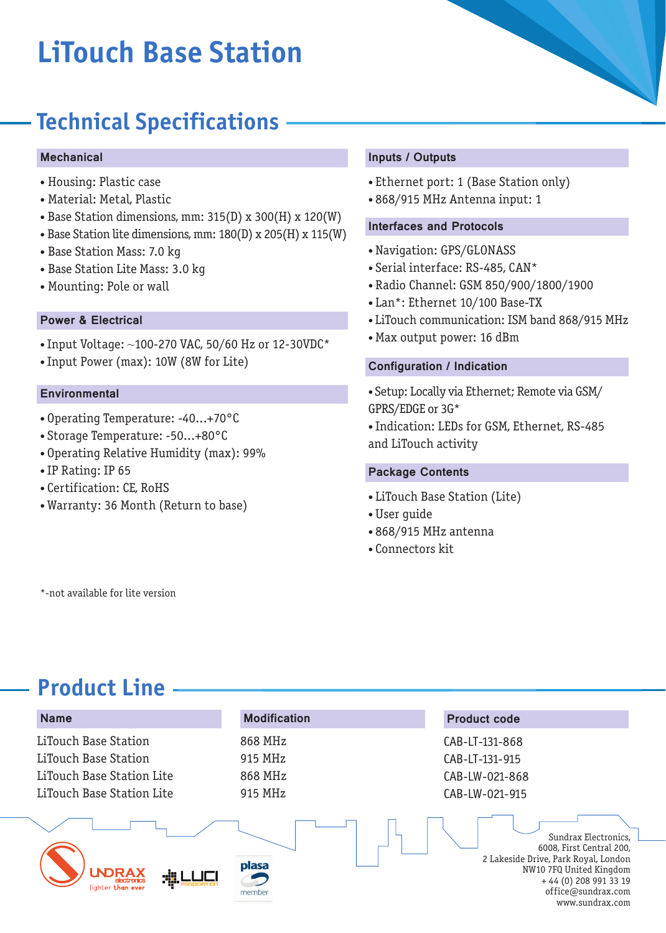# **LiTouch Base Station**

### **Technical Specifications**

#### **Mechanical**

- Housing: Plastic case
- Material: Metal, Plastic
- Base Station dimensions, mm: 315(D) x 300(H) x 120(W)
- Base Station lite dimensions, mm: 180(D) x 205(H) x 115(W)
- Base Station Mass: 7.0 kg
- Base Station Lite Mass: 3.0 kg
- Mounting: Pole or wall

#### Power & Electrical

- Input Voltage: ~100-270 VAC, 50/60 Hz or 12-30VDC\*
- Input Power (max): 10W (8W for Lite)

#### **Environmental**

- Operating Temperature: -40...+70°C
- Storage Temperature: -50...+80°C
- Operating Relative Humidity (max): 99%
- IP Rating: IP 65
- Certification: CE, RoHS
- Warranty: 36 Month (Return to base)

#### Inputs / Outputs

- Ethernet port: 1 (Base Station only)
- 868/915 MHz Antenna input: 1

#### Interfaces and Protocols

- Navigation: GPS/GLONASS
- Serial interface: RS-485, CAN\*
- Radio Channel: GSM 850/900/1800/1900
- Lan\*: Ethernet 10/100 Base-TX
- LiTouch communication: ISM band 868/915 MHz
- Max output power: 16 dBm

#### Configuration / Indication

• Setup: Locally via Ethernet; Remote via GSM/ GPRS/EDGE or 3G\*

• Indication: LEDs for GSM, Ethernet, RS-485 and LiTouch activity

#### Package Contents

- LiTouch Base Station (Lite)
- User guide
- 868/915 MHz antenna
- Connectors kit

\*-not available for lite version